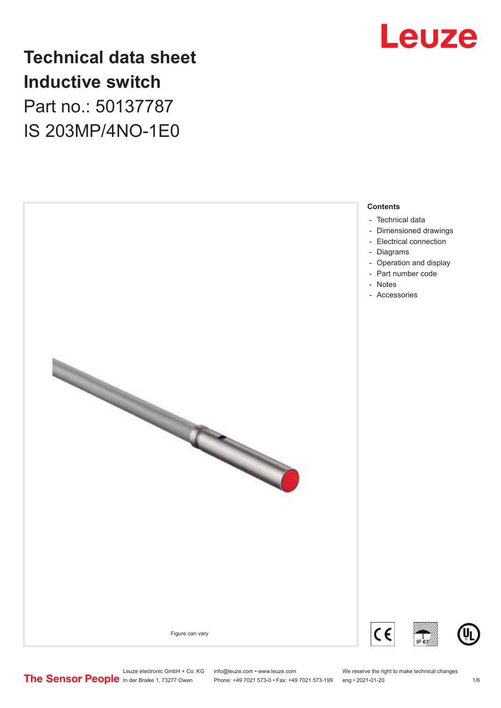

## **Technical data sheet Inductive switch** Part no.: 50137787 IS 203MP/4NO-1E0



- [Technical data](#page-1-0)
- [Dimensioned drawings](#page-2-0)
- [Electrical connection](#page-2-0)
- [Diagrams](#page-3-0)
- [Operation and display](#page-3-0)
- [Part number code](#page-4-0)
- Notes
- [Accessories](#page-5-0)









Leuze electronic GmbH + Co. KG info@leuze.com • www.leuze.com We reserve the right to make technical changes<br>
The Sensor People in der Braike 1, 73277 Owen Phone: +49 7021 573-0 • Fax: +49 7021 573-199 eng • 2021-01-20

Phone: +49 7021 573-0 • Fax: +49 7021 573-199 eng • 2021-01-20 1 2021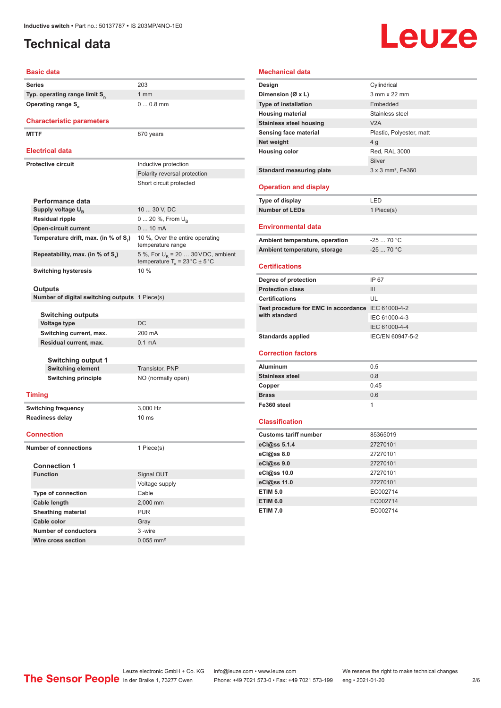### <span id="page-1-0"></span>**Technical data**

# **Leuze**

| <b>Basic data</b>                                     |                                                                                          |
|-------------------------------------------------------|------------------------------------------------------------------------------------------|
| Series                                                | 203                                                                                      |
| Typ. operating range limit S <sub>n</sub>             | 1 <sub>mm</sub>                                                                          |
| <b>Operating range S</b> <sub>a</sub>                 | $00.8$ mm                                                                                |
| <b>Characteristic parameters</b>                      |                                                                                          |
| <b>MTTF</b>                                           | 870 years                                                                                |
| <b>Electrical data</b>                                |                                                                                          |
| <b>Protective circuit</b>                             |                                                                                          |
|                                                       | Inductive protection                                                                     |
|                                                       | Polarity reversal protection                                                             |
|                                                       | Short circuit protected                                                                  |
| Performance data                                      |                                                                                          |
| Supply voltage U <sub>B</sub>                         | 10  30 V, DC                                                                             |
| <b>Residual ripple</b>                                | 0  20 %, From $U_{\rm B}$                                                                |
| <b>Open-circuit current</b>                           | $010$ mA                                                                                 |
| Temperature drift, max. (in % of S.)                  | 10 %, Over the entire operating<br>temperature range                                     |
| Repeatability, max. (in % of S.)                      | 5 %, For $U_B$ = 20  30 VDC, ambient<br>temperature $T_a = 23 \degree C \pm 5 \degree C$ |
| <b>Switching hysteresis</b>                           | 10 %                                                                                     |
|                                                       |                                                                                          |
| Outputs                                               |                                                                                          |
| <b>Number of digital switching outputs</b> 1 Piece(s) |                                                                                          |
| Switching outputs                                     |                                                                                          |
| <b>Voltage type</b>                                   | DC                                                                                       |
| Switching current, max.                               | 200 mA                                                                                   |
| Residual current, max.                                | 0.1 <sub>m</sub> A                                                                       |
|                                                       |                                                                                          |
| <b>Switching output 1</b>                             |                                                                                          |
| <b>Switching element</b>                              | Transistor, PNP                                                                          |
| <b>Switching principle</b>                            | NO (normally open)                                                                       |
| <b>Timing</b>                                         |                                                                                          |
| <b>Switching frequency</b>                            | 3,000 Hz                                                                                 |
| <b>Readiness delay</b>                                | 10 <sub>ms</sub>                                                                         |
| <b>Connection</b>                                     |                                                                                          |
| <b>Number of connections</b>                          | 1 Piece(s)                                                                               |
|                                                       |                                                                                          |
| <b>Connection 1</b>                                   |                                                                                          |
| <b>Function</b>                                       | Signal OUT                                                                               |
|                                                       | Voltage supply                                                                           |
| Type of connection                                    | Cable                                                                                    |
| <b>Cable length</b>                                   | 2,000 mm                                                                                 |
| <b>Sheathing material</b>                             | <b>PUR</b>                                                                               |
| Cable color                                           | Gray                                                                                     |
| <b>Number of conductors</b>                           | 3-wire                                                                                   |
| Wire cross section                                    | $0.055$ mm <sup>2</sup>                                                                  |

| <b>Mechanical data</b>                             |                               |
|----------------------------------------------------|-------------------------------|
| Design                                             | Cylindrical                   |
| Dimension (Ø x L)                                  | 3 mm x 22 mm                  |
| <b>Type of installation</b>                        | Embedded                      |
| <b>Housing material</b>                            | Stainless steel               |
| <b>Stainless steel housing</b>                     | V2A                           |
| Sensing face material                              | Plastic, Polyester, matt      |
| Net weight                                         | 4 <sub>g</sub>                |
| <b>Housing color</b>                               | Red, RAL 3000                 |
|                                                    | Silver                        |
| <b>Standard measuring plate</b>                    | 3 x 3 mm <sup>2</sup> . Fe360 |
| <b>Operation and display</b>                       |                               |
| <b>Type of display</b>                             | LED                           |
| <b>Number of LEDs</b>                              | 1 Piece(s)                    |
| Environmental data                                 |                               |
| Ambient temperature, operation                     | $-2570 °C$                    |
| Ambient temperature, storage                       | $-2570 °C$                    |
| Certifications                                     |                               |
| Degree of protection                               | IP 67                         |
| <b>Protection class</b>                            | Ш                             |
| <b>Certifications</b>                              | UL                            |
| Test procedure for EMC in accordance IEC 61000-4-2 |                               |
| with standard                                      | IEC 61000-4-3                 |
|                                                    | IEC 61000-4-4                 |
| <b>Standards applied</b>                           | IEC/EN 60947-5-2              |
|                                                    |                               |
| <b>Correction factors</b>                          |                               |
| <b>Aluminum</b>                                    | 0.5                           |
| <b>Stainless steel</b>                             | 0.8                           |
| Copper                                             | 0.45                          |
| <b>Brass</b>                                       | 0.6                           |
| Fe360 steel                                        | 1                             |
| <b>Classification</b>                              |                               |
| <b>Customs tariff number</b>                       | 85365019                      |
| eCl@ss 5.1.4                                       | 27270101                      |
| eCl@ss 8.0                                         | 27270101                      |
| eCl@ss 9.0                                         | 27270101                      |
| eCl@ss 10.0                                        | 27270101                      |
| eCl@ss 11.0                                        | 27270101                      |
| <b>ETIM 5.0</b>                                    | EC002714                      |
| <b>ETIM 6.0</b>                                    | EC002714                      |
| <b>ETIM 7.0</b>                                    | EC002714                      |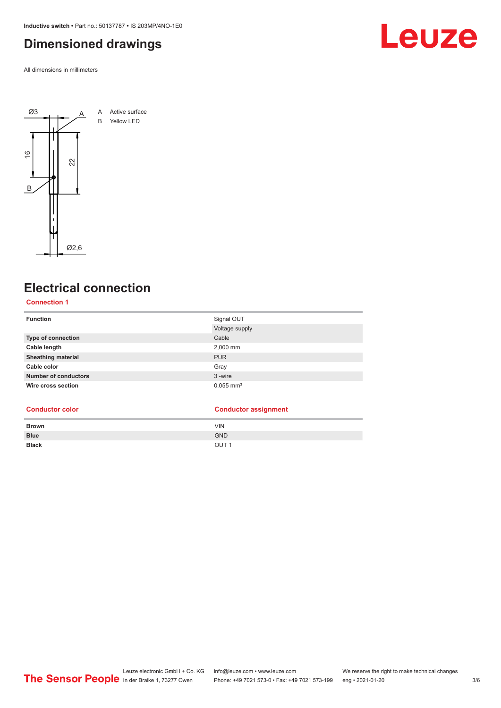<span id="page-2-0"></span>**Inductive switch •** Part no.: 50137787 **•** IS 203MP/4NO-1E0

#### **Dimensioned drawings**

All dimensions in millimeters



#### **Electrical connection**

#### **Connection 1**

| <b>Function</b>             | Signal OUT              |
|-----------------------------|-------------------------|
|                             | Voltage supply          |
| Type of connection          | Cable                   |
| Cable length                | 2,000 mm                |
| <b>Sheathing material</b>   | <b>PUR</b>              |
| Cable color                 | Gray                    |
| <b>Number of conductors</b> | 3-wire                  |
| Wire cross section          | $0.055$ mm <sup>2</sup> |

#### **Conductor color Conductor assignment**

| <b>Brown</b> | <b>VIN</b>       |
|--------------|------------------|
| <b>Blue</b>  | <b>GND</b>       |
| <b>Black</b> | OUT <sub>1</sub> |

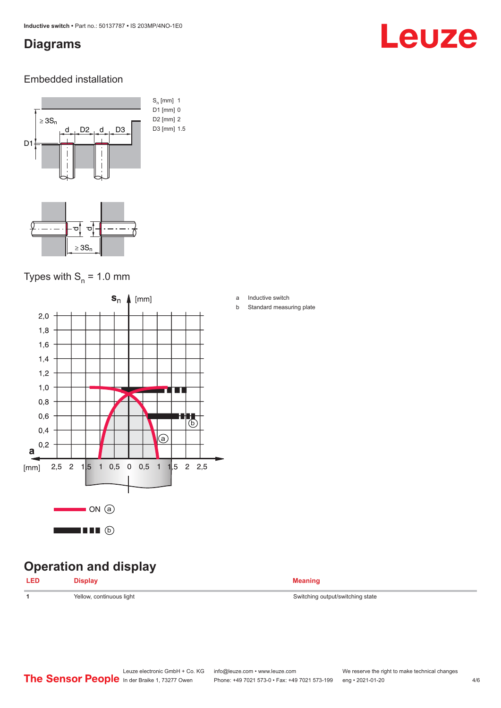#### <span id="page-3-0"></span>**Diagrams**

## Leuze

#### Embedded installation



#### Types with  $S_{n}$  = 1.0 mm



### **Operation and display**

| <b>LED</b> | <b>Display</b>           | <b>Meaning</b>                   |
|------------|--------------------------|----------------------------------|
| -1         | Yellow, continuous light | Switching output/switching state |
|            |                          |                                  |

a Inductive switch

b Standard measuring plate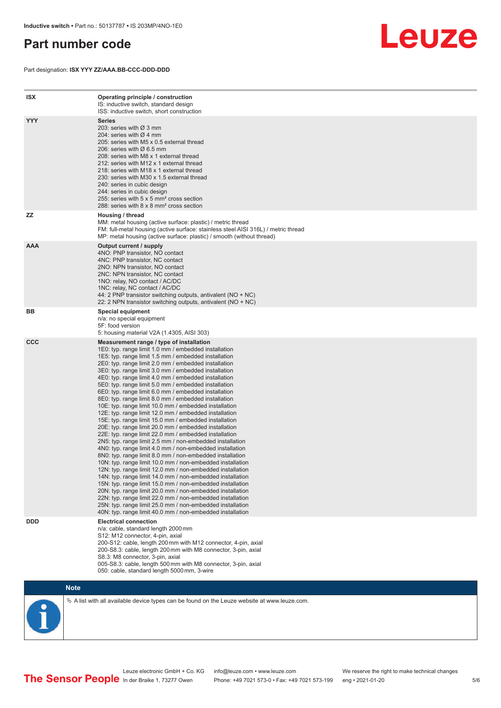#### <span id="page-4-0"></span>**Part number code**

Part designation: **ISX YYY ZZ/AAA.BB-CCC-DDD-DDD**



| <b>ISX</b> | Operating principle / construction<br>IS: inductive switch, standard design<br>ISS: inductive switch, short construction                                                                                                                                                                                                                                                                                                                                                                                                                                                                                                                                                                                                                                                                                                                                                                                                                                                                                                                                                                                                                                                                                                                                                                                                                                                                                                                                                                          |
|------------|---------------------------------------------------------------------------------------------------------------------------------------------------------------------------------------------------------------------------------------------------------------------------------------------------------------------------------------------------------------------------------------------------------------------------------------------------------------------------------------------------------------------------------------------------------------------------------------------------------------------------------------------------------------------------------------------------------------------------------------------------------------------------------------------------------------------------------------------------------------------------------------------------------------------------------------------------------------------------------------------------------------------------------------------------------------------------------------------------------------------------------------------------------------------------------------------------------------------------------------------------------------------------------------------------------------------------------------------------------------------------------------------------------------------------------------------------------------------------------------------------|
| <b>YYY</b> | Series<br>203: series with Ø 3 mm<br>204: series with $\varnothing$ 4 mm<br>205: series with M5 x 0.5 external thread<br>206: series with $\varnothing$ 6.5 mm<br>208: series with M8 x 1 external thread<br>212: series with M12 x 1 external thread<br>218: series with M18 x 1 external thread<br>230: series with M30 x 1.5 external thread<br>240: series in cubic design<br>244: series in cubic design<br>255: series with 5 x 5 mm <sup>2</sup> cross section<br>288: series with 8 x 8 mm <sup>2</sup> cross section                                                                                                                                                                                                                                                                                                                                                                                                                                                                                                                                                                                                                                                                                                                                                                                                                                                                                                                                                                     |
| <b>ZZ</b>  | Housing / thread<br>MM: metal housing (active surface: plastic) / metric thread<br>FM: full-metal housing (active surface: stainless steel AISI 316L) / metric thread<br>MP: metal housing (active surface: plastic) / smooth (without thread)                                                                                                                                                                                                                                                                                                                                                                                                                                                                                                                                                                                                                                                                                                                                                                                                                                                                                                                                                                                                                                                                                                                                                                                                                                                    |
| <b>AAA</b> | Output current / supply<br>4NO: PNP transistor, NO contact<br>4NC: PNP transistor, NC contact<br>2NO: NPN transistor, NO contact<br>2NC: NPN transistor, NC contact<br>1NO: relay, NO contact / AC/DC<br>1NC: relay, NC contact / AC/DC<br>44: 2 PNP transistor switching outputs, antivalent (NO + NC)<br>22: 2 NPN transistor switching outputs, antivalent (NO + NC)                                                                                                                                                                                                                                                                                                                                                                                                                                                                                                                                                                                                                                                                                                                                                                                                                                                                                                                                                                                                                                                                                                                           |
| BB         | Special equipment<br>n/a: no special equipment<br>5F: food version<br>5: housing material V2A (1.4305, AISI 303)                                                                                                                                                                                                                                                                                                                                                                                                                                                                                                                                                                                                                                                                                                                                                                                                                                                                                                                                                                                                                                                                                                                                                                                                                                                                                                                                                                                  |
| <b>CCC</b> | Measurement range / type of installation<br>1E0: typ. range limit 1.0 mm / embedded installation<br>1E5: typ. range limit 1.5 mm / embedded installation<br>2E0: typ. range limit 2.0 mm / embedded installation<br>3E0: typ. range limit 3.0 mm / embedded installation<br>4E0: typ. range limit 4.0 mm / embedded installation<br>5E0: typ. range limit 5.0 mm / embedded installation<br>6E0: typ. range limit 6.0 mm / embedded installation<br>8E0: typ. range limit 8.0 mm / embedded installation<br>10E: typ. range limit 10.0 mm / embedded installation<br>12E: typ. range limit 12.0 mm / embedded installation<br>15E: typ. range limit 15.0 mm / embedded installation<br>20E: typ. range limit 20.0 mm / embedded installation<br>22E: typ. range limit 22.0 mm / embedded installation<br>2N5: typ. range limit 2.5 mm / non-embedded installation<br>4N0: typ. range limit 4.0 mm / non-embedded installation<br>8N0: typ. range limit 8.0 mm / non-embedded installation<br>10N: typ. range limit 10.0 mm / non-embedded installation<br>12N: typ. range limit 12.0 mm / non-embedded installation<br>14N: typ. range limit 14.0 mm / non-embedded installation<br>15N: typ. range limit 15.0 mm / non-embedded installation<br>20N: typ. range limit 20.0 mm / non-embedded installation<br>22N: typ. range limit 22.0 mm / non-embedded installation<br>25N: typ. range limit 25.0 mm / non-embedded installation<br>40N: typ. range limit 40.0 mm / non-embedded installation |
| <b>DDD</b> | <b>Electrical connection</b><br>n/a: cable, standard length 2000 mm<br>S12: M12 connector, 4-pin, axial<br>200-S12: cable, length 200 mm with M12 connector, 4-pin, axial<br>200-S8.3: cable, length 200 mm with M8 connector, 3-pin, axial<br>S8.3: M8 connector, 3-pin, axial<br>005-S8.3: cable, length 500 mm with M8 connector, 3-pin, axial<br>050: cable, standard length 5000 mm, 3-wire                                                                                                                                                                                                                                                                                                                                                                                                                                                                                                                                                                                                                                                                                                                                                                                                                                                                                                                                                                                                                                                                                                  |

**Note**

 $\%$  A list with all available device types can be found on the Leuze website at www.leuze.com.

Leuze electronic GmbH + Co. KG info@leuze.com • www.leuze.com We reserve the right to make technical changes In der Braike 1, 73277 Owen Phone: +49 7021 573-0 • Fax: +49 7021 573-199 eng • 2021-01-20